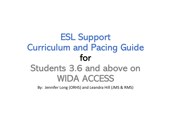## ESL Support Curriculum and Pacing Guide for Students 3.6 and above on WIDA ACCESS

By: Jennifer Long (ORHS) and Leandra Hill (JMS & RMS)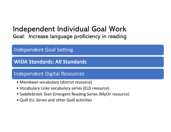# Independent Individual Goal Work Goal: Increase language proficiency in reading 1dependent Individual Goal V<br>
oal: Increase language proficiency in re<br>
1dependent Goal Setting<br>
VIDA Standards: All Standards<br>
1dependent Digital Resources<br>
• Membean vocabulary (district resource)<br>
• Vocabulary Links voc

## Independent Goal Setting

WIDA Standards: All Standards • Nembert Goal Setting<br>• Nembert Coal Setting<br>• Nembert Digital Resources<br>• Membean vocabulary (district resource)<br>• Vocabulary Links vocabulary series (ELD<br>• Saddlebrook Teen Emergent Reading Ser<br>• Quill ELL Series and ot

## Independent Digital Resources

- 
- 
- Vocabulary Links vocabulary series (ELD resource) • Nembert Goal Setting<br>• NIDA Standards: All Standards<br>• Membean vocabulary (district resource)<br>• Vocabulary Links vocabulary series (ELD resource)<br>• Saddlebrook Teen Emergent Reading Series (MyOn resource)<br>• Quill ELL Ser
-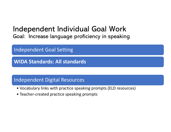## Independent Individual Goal Work Goal: Increase language proficiency in speaking

Independent Goal Setting

WIDA Standards: All standards • Nependent Goal Setting<br>• NIDA Standards: All standards<br>• Nependent Digital Resources<br>• Vocabulary links with practice speaking prompts<br>• Teacher-created practice speaking prompts

## Independent Digital Resources

- oal: Increase language proficiency in speaking<br>ndependent Goal Setting<br>WIDA Standards: All standards<br>ndependent Digital Resources<br>• Vocabulary links with practice speaking prompts (ELD resources)<br>• Teacher-created practice
-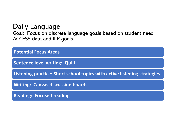## Daily Language

Goal: Focus on discrete language goals based on student need ACCESS data and ILP goals.

| <b>Potential Focus Areas</b>                                             |
|--------------------------------------------------------------------------|
| <b>Sentence level writing: Quill</b>                                     |
| Listening practice: Short school topics with active listening strategies |
| <b>Writing: Canvas discussion boards</b>                                 |
| <b>Reading: Focused reading</b>                                          |
|                                                                          |